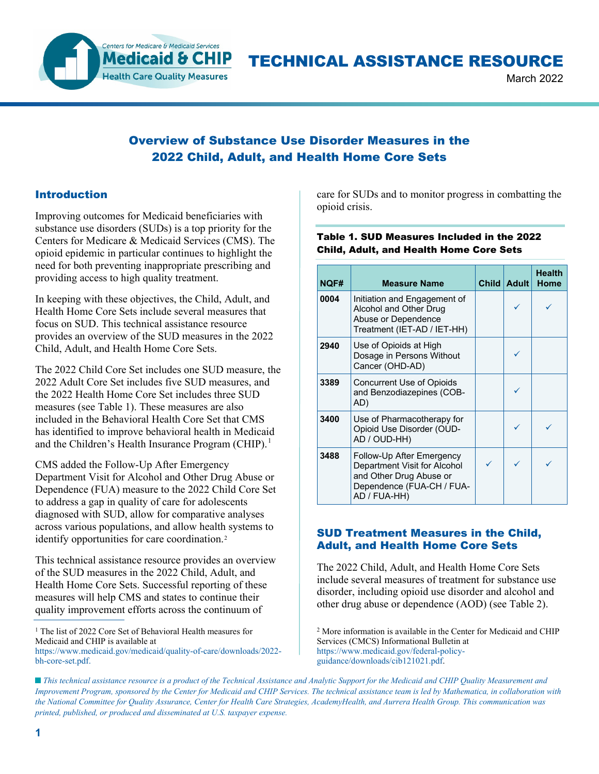

TECHNICAL ASSISTANCE RESOURCE

March 2022

# Overview of Substance Use Disorder Measures in the 2022 Child, Adult, and Health Home Core Sets

### Introduction

Improving outcomes for Medicaid beneficiaries with substance use disorders (SUDs) is a top priority for the Centers for Medicare & Medicaid Services (CMS). The opioid epidemic in particular continues to highlight the need for both preventing inappropriate prescribing and providing access to high quality treatment.

In keeping with these objectives, the Child, Adult, and Health Home Core Sets include several measures that focus on SUD. This technical assistance resource provides an overview of the SUD measures in the 2022 Child, Adult, and Health Home Core Sets.

The 2022 Child Core Set includes one SUD measure, the 2022 Adult Core Set includes five SUD measures, and the 2022 Health Home Core Set includes three SUD measures (see Table 1). These measures are also included in the Behavioral Health Core Set that CMS has identified to improve behavioral health in Medicaid and the Children's Health Insurance Program (CHIP).<sup>[1](#page-0-0)</sup>

CMS added the Follow-Up After Emergency Department Visit for Alcohol and Other Drug Abuse or Dependence (FUA) measure to the 2022 Child Core Set to address a gap in quality of care for adolescents diagnosed with SUD, allow for comparative analyses across various populations, and allow health systems to identify opportunities for care coordination.<sup>[2](#page-0-0)</sup>

This technical assistance resource provides an overview of the SUD measures in the 2022 Child, Adult, and Health Home Core Sets. Successful reporting of these measures will help CMS and states to continue their quality improvement efforts across the continuum of

<span id="page-0-0"></span><sup>1</sup> The list of 2022 Core Set of Behavioral Health measures for Medicaid and CHIP is available at [https://www.medicaid.gov/medicaid/quality-of-care/downloads/2022](https://www.medicaid.gov/medicaid/quality-of-care/downloads/2022-bh-core-set.pdf.) [bh-core-set.pdf.](https://www.medicaid.gov/medicaid/quality-of-care/downloads/2022-bh-core-set.pdf.)

care for SUDs and to monitor progress in combatting the opioid crisis.

#### Table 1. SUD Measures Included in the 2022 Child, Adult, and Health Home Core Sets

| NQF# | <b>Measure Name</b>                                                                                                               | Child   Adult | <b>Health</b><br>Home |
|------|-----------------------------------------------------------------------------------------------------------------------------------|---------------|-----------------------|
| 0004 | Initiation and Engagement of<br>Alcohol and Other Drug<br>Abuse or Dependence<br>Treatment (IET-AD / IET-HH)                      |               |                       |
| 2940 | Use of Opioids at High<br>Dosage in Persons Without<br>Cancer (OHD-AD)                                                            |               |                       |
| 3389 | <b>Concurrent Use of Opioids</b><br>and Benzodiazepines (COB-<br>AD)                                                              |               |                       |
| 3400 | Use of Pharmacotherapy for<br>Opioid Use Disorder (OUD-<br>AD / OUD-HH)                                                           |               |                       |
| 3488 | Follow-Up After Emergency<br>Department Visit for Alcohol<br>and Other Drug Abuse or<br>Dependence (FUA-CH / FUA-<br>AD / FUA-HH) |               |                       |

### SUD Treatment Measures in the Child, Adult, and Health Home Core Sets

The 2022 Child, Adult, and Health Home Core Sets include several measures of treatment for substance use disorder, including opioid use disorder and alcohol and other drug abuse or dependence (AOD) (see Table 2).

<sup>2</sup> More information is available in the Center for Medicaid and CHIP Services (CMCS) Informational Bulletin at [https://www.medicaid.gov/federal-policy](https://www.medicaid.gov/federal-policy-guidance/downloads/cib121021.pdf)[guidance/downloads/cib121021.pdf.](https://www.medicaid.gov/federal-policy-guidance/downloads/cib121021.pdf) 

 *This technical assistance resource is a product of the Technical Assistance and Analytic Support for the Medicaid and CHIP Quality Measurement and Improvement Program, sponsored by the Center for Medicaid and CHIP Services. The technical assistance team is led by Mathematica, in collaboration with the National Committee for Quality Assurance, Center for Health Care Strategies, AcademyHealth, and Aurrera Health Group. This communication was printed, published, or produced and disseminated at U.S. taxpayer expense.*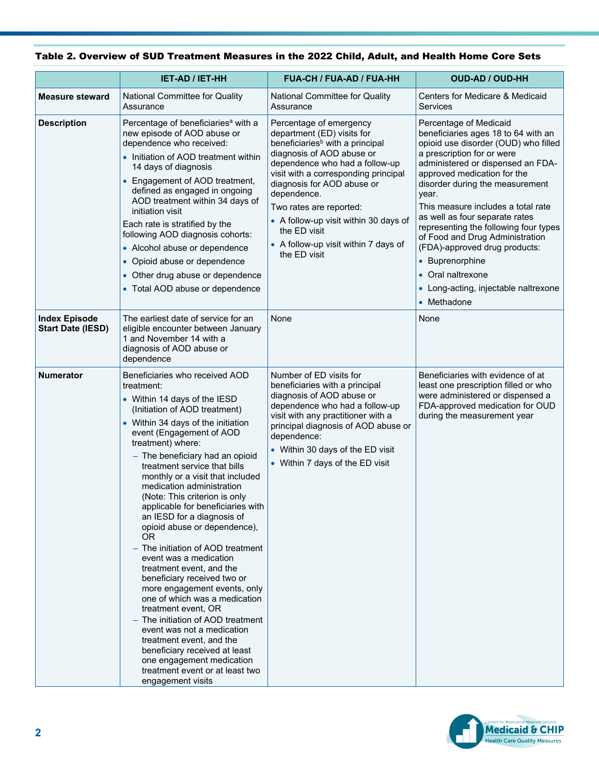|                                                  | <b>IET-AD / IET-HH</b>                                                                                                                                                                                                                                                                                                                                                                                                                                                                                                                                                                                                                                                                                                                                                                                                                                                                                                           | FUA-CH / FUA-AD / FUA-HH                                                                                                                                                                                                                                                                                                                                                                             | <b>OUD-AD / OUD-HH</b>                                                                                                                                                                                                                                                                                                                                                                                                                                                                                                                  |
|--------------------------------------------------|----------------------------------------------------------------------------------------------------------------------------------------------------------------------------------------------------------------------------------------------------------------------------------------------------------------------------------------------------------------------------------------------------------------------------------------------------------------------------------------------------------------------------------------------------------------------------------------------------------------------------------------------------------------------------------------------------------------------------------------------------------------------------------------------------------------------------------------------------------------------------------------------------------------------------------|------------------------------------------------------------------------------------------------------------------------------------------------------------------------------------------------------------------------------------------------------------------------------------------------------------------------------------------------------------------------------------------------------|-----------------------------------------------------------------------------------------------------------------------------------------------------------------------------------------------------------------------------------------------------------------------------------------------------------------------------------------------------------------------------------------------------------------------------------------------------------------------------------------------------------------------------------------|
| <b>Measure steward</b>                           | National Committee for Quality<br>Assurance                                                                                                                                                                                                                                                                                                                                                                                                                                                                                                                                                                                                                                                                                                                                                                                                                                                                                      | National Committee for Quality<br>Assurance                                                                                                                                                                                                                                                                                                                                                          | Centers for Medicare & Medicaid<br>Services                                                                                                                                                                                                                                                                                                                                                                                                                                                                                             |
| <b>Description</b>                               | Percentage of beneficiaries <sup>a</sup> with a<br>new episode of AOD abuse or<br>dependence who received:<br>• Initiation of AOD treatment within<br>14 days of diagnosis<br>Engagement of AOD treatment,<br>$\bullet$<br>defined as engaged in ongoing<br>AOD treatment within 34 days of<br>initiation visit<br>Each rate is stratified by the<br>following AOD diagnosis cohorts:<br>• Alcohol abuse or dependence<br>• Opioid abuse or dependence<br>• Other drug abuse or dependence<br>• Total AOD abuse or dependence                                                                                                                                                                                                                                                                                                                                                                                                    | Percentage of emergency<br>department (ED) visits for<br>beneficiaries <sup>b</sup> with a principal<br>diagnosis of AOD abuse or<br>dependence who had a follow-up<br>visit with a corresponding principal<br>diagnosis for AOD abuse or<br>dependence.<br>Two rates are reported:<br>• A follow-up visit within 30 days of<br>the ED visit<br>• A follow-up visit within 7 days of<br>the ED visit | Percentage of Medicaid<br>beneficiaries ages 18 to 64 with an<br>opioid use disorder (OUD) who filled<br>a prescription for or were<br>administered or dispensed an FDA-<br>approved medication for the<br>disorder during the measurement<br>year.<br>This measure includes a total rate<br>as well as four separate rates<br>representing the following four types<br>of Food and Drug Administration<br>(FDA)-approved drug products:<br>• Buprenorphine<br>• Oral naltrexone<br>• Long-acting, injectable naltrexone<br>• Methadone |
| <b>Index Episode</b><br><b>Start Date (IESD)</b> | The earliest date of service for an<br>eligible encounter between January<br>1 and November 14 with a<br>diagnosis of AOD abuse or<br>dependence                                                                                                                                                                                                                                                                                                                                                                                                                                                                                                                                                                                                                                                                                                                                                                                 | None                                                                                                                                                                                                                                                                                                                                                                                                 | None                                                                                                                                                                                                                                                                                                                                                                                                                                                                                                                                    |
| <b>Numerator</b>                                 | Beneficiaries who received AOD<br>treatment:<br>• Within 14 days of the IESD<br>(Initiation of AOD treatment)<br>• Within 34 days of the initiation<br>event (Engagement of AOD<br>treatment) where:<br>- The beneficiary had an opioid<br>treatment service that bills<br>monthly or a visit that included<br>medication administration<br>(Note: This criterion is only<br>applicable for beneficiaries with<br>an IESD for a diagnosis of<br>opioid abuse or dependence),<br><b>OR</b><br>- The initiation of AOD treatment<br>event was a medication<br>treatment event, and the<br>beneficiary received two or<br>more engagement events, only<br>one of which was a medication<br>treatment event, OR<br>- The initiation of AOD treatment<br>event was not a medication<br>treatment event, and the<br>beneficiary received at least<br>one engagement medication<br>treatment event or at least two<br>engagement visits | Number of ED visits for<br>beneficiaries with a principal<br>diagnosis of AOD abuse or<br>dependence who had a follow-up<br>visit with any practitioner with a<br>principal diagnosis of AOD abuse or<br>dependence:<br>• Within 30 days of the ED visit<br>• Within 7 days of the ED visit                                                                                                          | Beneficiaries with evidence of at<br>least one prescription filled or who<br>were administered or dispensed a<br>FDA-approved medication for OUD<br>during the measurement year                                                                                                                                                                                                                                                                                                                                                         |

## Table 2. Overview of SUD Treatment Measures in the 2022 Child, Adult, and Health Home Core Sets

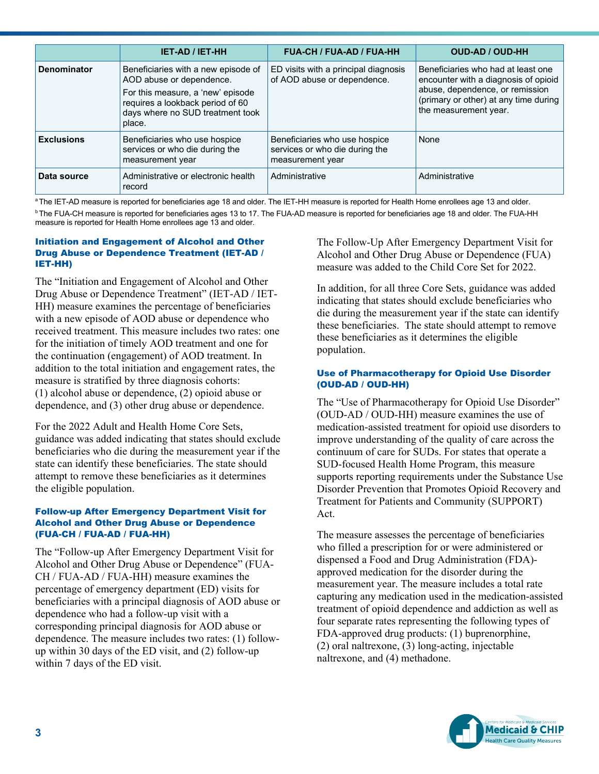|                    | <b>IET-AD / IET-HH</b>                                                                                                                                                                 | FUA-CH / FUA-AD / FUA-HH                                                            | <b>OUD-AD / OUD-HH</b>                                                                                                                                                          |
|--------------------|----------------------------------------------------------------------------------------------------------------------------------------------------------------------------------------|-------------------------------------------------------------------------------------|---------------------------------------------------------------------------------------------------------------------------------------------------------------------------------|
| <b>Denominator</b> | Beneficiaries with a new episode of<br>AOD abuse or dependence.<br>For this measure, a 'new' episode<br>requires a lookback period of 60<br>days where no SUD treatment took<br>place. | ED visits with a principal diagnosis<br>of AOD abuse or dependence.                 | Beneficiaries who had at least one<br>encounter with a diagnosis of opioid<br>abuse, dependence, or remission<br>(primary or other) at any time during<br>the measurement year. |
| <b>Exclusions</b>  | Beneficiaries who use hospice<br>services or who die during the<br>measurement year                                                                                                    | Beneficiaries who use hospice<br>services or who die during the<br>measurement year | None                                                                                                                                                                            |
| Data source        | Administrative or electronic health<br>record                                                                                                                                          | Administrative                                                                      | Administrative                                                                                                                                                                  |

<sup>a</sup> The IET-AD measure is reported for beneficiaries age 18 and older. The IET-HH measure is reported for Health Home enrollees age 13 and older. <sup>b</sup> The FUA-CH measure is reported for beneficiaries ages 13 to 17. The FUA-AD measure is reported for beneficiaries age 18 and older. The FUA-HH measure is reported for Health Home enrollees age 13 and older.

#### Initiation and Engagement of Alcohol and Other Drug Abuse or Dependence Treatment (IET-AD / IET-HH)

The "Initiation and Engagement of Alcohol and Other Drug Abuse or Dependence Treatment" (IET-AD / IET-HH) measure examines the percentage of beneficiaries with a new episode of AOD abuse or dependence who received treatment. This measure includes two rates: one for the initiation of timely AOD treatment and one for the continuation (engagement) of AOD treatment. In addition to the total initiation and engagement rates, the measure is stratified by three diagnosis cohorts: (1) alcohol abuse or dependence, (2) opioid abuse or dependence, and (3) other drug abuse or dependence.

For the 2022 Adult and Health Home Core Sets, guidance was added indicating that states should exclude beneficiaries who die during the measurement year if the state can identify these beneficiaries. The state should attempt to remove these beneficiaries as it determines the eligible population.

#### Follow-up After Emergency Department Visit for Alcohol and Other Drug Abuse or Dependence (FUA-CH / FUA-AD / FUA-HH)

The "Follow-up After Emergency Department Visit for Alcohol and Other Drug Abuse or Dependence" (FUA-CH / FUA-AD / FUA-HH) measure examines the percentage of emergency department (ED) visits for beneficiaries with a principal diagnosis of AOD abuse or dependence who had a follow-up visit with a corresponding principal diagnosis for AOD abuse or dependence. The measure includes two rates: (1) followup within 30 days of the ED visit, and (2) follow-up within 7 days of the ED visit.

The Follow-Up After Emergency Department Visit for Alcohol and Other Drug Abuse or Dependence (FUA) measure was added to the Child Core Set for 2022.

In addition, for all three Core Sets, guidance was added indicating that states should exclude beneficiaries who die during the measurement year if the state can identify these beneficiaries. The state should attempt to remove these beneficiaries as it determines the eligible population.

#### Use of Pharmacotherapy for Opioid Use Disorder (OUD-AD / OUD-HH)

The "Use of Pharmacotherapy for Opioid Use Disorder" (OUD-AD / OUD-HH) measure examines the use of medication-assisted treatment for opioid use disorders to improve understanding of the quality of care across the continuum of care for SUDs. For states that operate a SUD-focused Health Home Program, this measure supports reporting requirements under the Substance Use Disorder Prevention that Promotes Opioid Recovery and Treatment for Patients and Community (SUPPORT) Act.

The measure assesses the percentage of beneficiaries who filled a prescription for or were administered or dispensed a Food and Drug Administration (FDA) approved medication for the disorder during the measurement year. The measure includes a total rate capturing any medication used in the medication-assisted treatment of opioid dependence and addiction as well as four separate rates representing the following types of FDA-approved drug products: (1) buprenorphine, (2) oral naltrexone, (3) long-acting, injectable naltrexone, and (4) methadone.

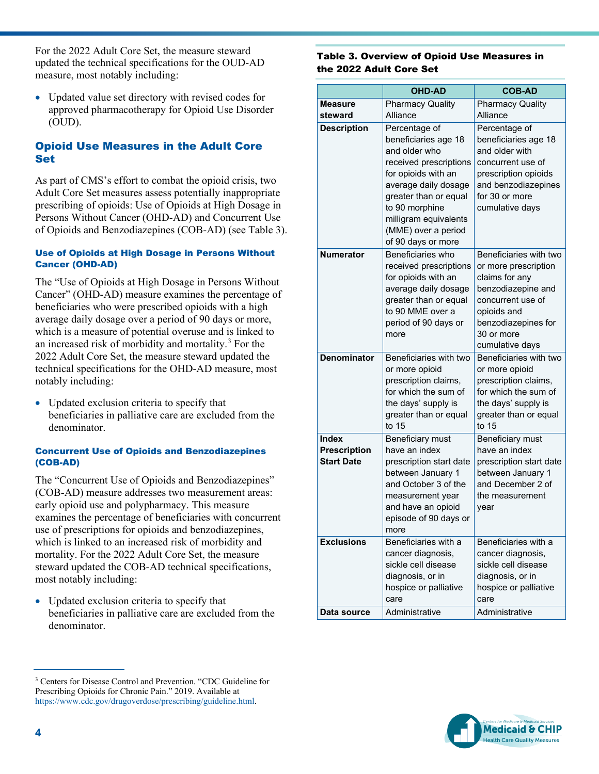For the 2022 Adult Core Set, the measure steward updated the technical specifications for the OUD-AD measure, most notably including:

• Updated value set directory with revised codes for approved pharmacotherapy for Opioid Use Disorder (OUD).

### Opioid Use Measures in the Adult Core Set

As part of CMS's effort to combat the opioid crisis, two Adult Core Set measures assess potentially inappropriate prescribing of opioids: Use of Opioids at High Dosage in Persons Without Cancer (OHD-AD) and Concurrent Use of Opioids and Benzodiazepines (COB-AD) (see Table 3).

#### Use of Opioids at High Dosage in Persons Without Cancer (OHD-AD)

The "Use of Opioids at High Dosage in Persons Without Cancer" (OHD-AD) measure examines the percentage of beneficiaries who were prescribed opioids with a high average daily dosage over a period of 90 days or more, which is a measure of potential overuse and is linked to an increased risk of morbidity and mortality. $3$  For the 2022 Adult Core Set, the measure steward updated the technical specifications for the OHD-AD measure, most notably including:

• Updated exclusion criteria to specify that beneficiaries in palliative care are excluded from the denominator.

#### Concurrent Use of Opioids and Benzodiazepines (COB-AD)

The "Concurrent Use of Opioids and Benzodiazepines" (COB-AD) measure addresses two measurement areas: early opioid use and polypharmacy. This measure examines the percentage of beneficiaries with concurrent use of prescriptions for opioids and benzodiazepines, which is linked to an increased risk of morbidity and mortality. For the 2022 Adult Core Set, the measure steward updated the COB-AD technical specifications, most notably including:

• Updated exclusion criteria to specify that beneficiaries in palliative care are excluded from the denominator.

#### Table 3. Overview of Opioid Use Measures in the 2022 Adult Core Set

|                                          | <b>OHD-AD</b>                                                                                                                                                                                                                                    | <b>COB-AD</b>                                                                                                                                                                      |
|------------------------------------------|--------------------------------------------------------------------------------------------------------------------------------------------------------------------------------------------------------------------------------------------------|------------------------------------------------------------------------------------------------------------------------------------------------------------------------------------|
| <b>Measure</b>                           | <b>Pharmacy Quality</b>                                                                                                                                                                                                                          | <b>Pharmacy Quality</b>                                                                                                                                                            |
| steward                                  | Alliance                                                                                                                                                                                                                                         | Alliance                                                                                                                                                                           |
| <b>Description</b>                       | Percentage of<br>beneficiaries age 18<br>and older who<br>received prescriptions<br>for opioids with an<br>average daily dosage<br>greater than or equal<br>to 90 morphine<br>milligram equivalents<br>(MME) over a period<br>of 90 days or more | Percentage of<br>beneficiaries age 18<br>and older with<br>concurrent use of<br>prescription opioids<br>and benzodiazepines<br>for 30 or more<br>cumulative days                   |
| <b>Numerator</b>                         | Beneficiaries who<br>received prescriptions<br>for opioids with an<br>average daily dosage<br>greater than or equal<br>to 90 MME over a<br>period of 90 days or<br>more                                                                          | Beneficiaries with two<br>or more prescription<br>claims for any<br>benzodiazepine and<br>concurrent use of<br>opioids and<br>benzodiazepines for<br>30 or more<br>cumulative days |
| <b>Denominator</b>                       | Beneficiaries with two                                                                                                                                                                                                                           | Beneficiaries with two                                                                                                                                                             |
|                                          | or more opioid<br>prescription claims,<br>for which the sum of<br>the days' supply is<br>greater than or equal<br>to 15                                                                                                                          | or more opioid<br>prescription claims,<br>for which the sum of<br>the days' supply is<br>greater than or equal<br>to $15$                                                          |
| <b>Index</b>                             | Beneficiary must                                                                                                                                                                                                                                 | Beneficiary must                                                                                                                                                                   |
| <b>Prescription</b><br><b>Start Date</b> | have an index<br>prescription start date<br>between January 1<br>and October 3 of the<br>measurement year<br>and have an opioid<br>episode of 90 days or<br>more                                                                                 | have an index<br>prescription start date<br>between January 1<br>and December 2 of<br>the measurement<br>year                                                                      |
| <b>Exclusions</b>                        | Beneficiaries with a<br>cancer diagnosis,<br>sickle cell disease<br>diagnosis, or in<br>hospice or palliative<br>care                                                                                                                            | Beneficiaries with a<br>cancer diagnosis,<br>sickle cell disease<br>diagnosis, or in<br>hospice or palliative<br>care                                                              |
| Data source                              | Administrative                                                                                                                                                                                                                                   | Administrative                                                                                                                                                                     |



<span id="page-3-0"></span><sup>3</sup> Centers for Disease Control and Prevention. "CDC Guideline for Prescribing Opioids for Chronic Pain." 2019. Available at [https://www.cdc.gov/drugoverdose/prescribing/guideline.html.](https://www.cdc.gov/drugoverdose/prescribing/guideline.html)